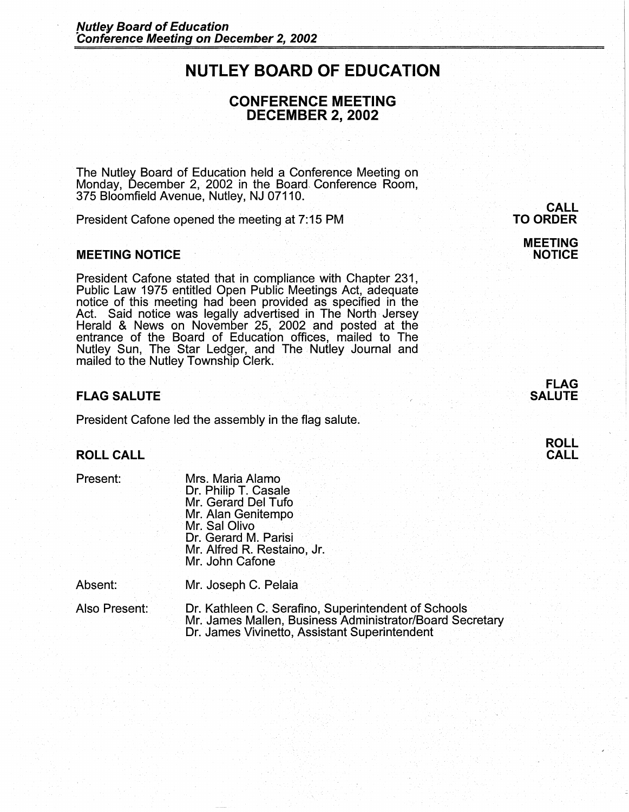# **NUTLEY BOARD OF EDUCATION**

## **CONFERENCE MEETING DECEMBER 2, 2002**

The Nutley Board of Education held a Conference Meeting on Monday, December 2, 2002 in the Board Conference Room, 375 Bloomfield Avenue, Nutley, NJ 07110.

President Cafone opened the meeting at 7: 15 PM

#### **MEETING NOTICE**

President Cafone stated that in compliance with Chapter 231, Public Law 1975 entitled Open Public Meetings Act, adequate notice of this meeting had been provided as specified in the Act. Said notice was legally advertised in The North Jersey Herald & News on November 25, 2002 and posted at the entrance of the Board of Education offices, mailed to The Nutley Sun, The Star Ledger, and The Nutley Journal and mailed to the Nutley Township Clerk.

### **FLAG SALUTE**

President Cafone led the assembly in the flag salute.

### **ROLL CALL**

Present:

Mrs. Maria Alamo Dr. Philip T. Casale Mr. Gerard Del Tufo Mr. Alan Genitempo Mr. Sal Olivo Dr. Gerard M. Parisi Mr. Alfred R. Restaino, Jr. Mr. John Cafone

Absent: Mr. Joseph C. Pelaia

Also Present: Dr. Kathleen C. Serafino, Superintendent of Schools Mr. James Mallen, Business Administrator/Board Secretary Dr. James Vivinetto, Assistant Superintendent

# **CALL TO ORDER MEETING**

**NOTICE** 



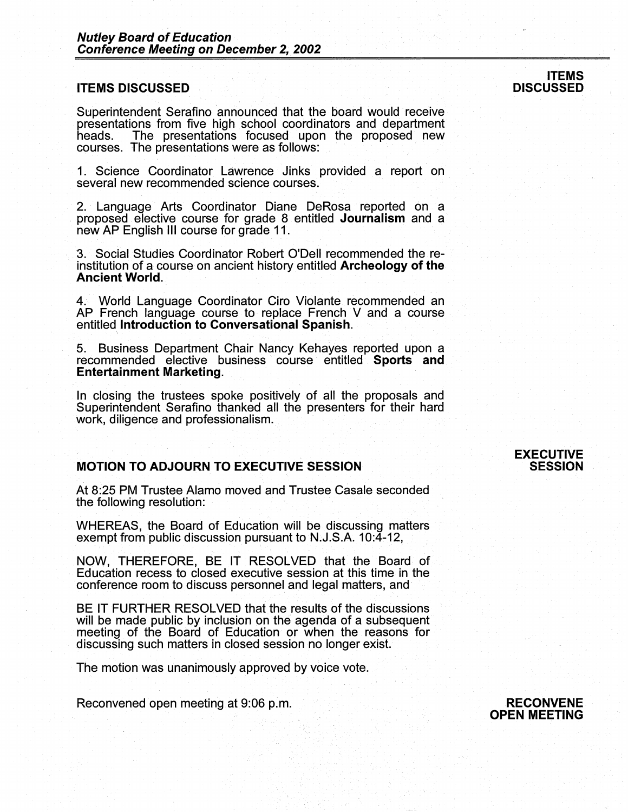#### **ITEMS DISCUSSED**

Superintendent Serafino announced that the board would receive presentations from five high school coordinators and department The presentations focused upon the proposed new courses. The presentations were as follows:

1. Science Coordinator Lawrence Jinks provided a report on several new recommended science courses.

2. Language Arts Coordinator Diane DeRosa reported on a proposed elective course for grade 8 entitled **Journalism** and a new AP English Ill course for grade 11.

3. Social Studies Coordinator Robert O'Dell recommended the reinstitution of a course on ancient history entitled **Archeology of the Ancient World.** 

4. World Language Coordinator Ciro Violante recommended an AP French language course to replace French V and a course entitled **Introduction to Conversational Spanish.** \

5. Business Department Chair Nancy Kehayes reported upon a recommended elective business course entitled **Sports and Entertainment Marketing.** 

In closing the trustees spoke positively of all the proposals and Superintendent Serafino thanked all the presenters for their hard work, diligence and professionalism.

#### **MOTION TO ADJOURN TO EXECUTIVE SESSION**

At 8:25 PM Trustee Alamo moved and Trustee Casale seconded the following resolution:

WHEREAS, the Board of Education will be discussing matters exempt from public discussion pursuant to  $N.J.S.A.$  10:4-12,

**NOW,** THEREFORE, BE IT RESOLVED that the Board of Education recess to closed executive session at this time in the conference room to discuss personnel and legal matters, and·

BE IT FURTHER RESOLVED that the results of the discussions will be made public by inclusion on the agenda of a subsequent meeting of the Board of Education or when the reasons for discussing such matters in closed session no longer exist.

The motion was unanimously approved by voice vote.

Reconvened open meeting at 9:06 p.m.

#### **EXECUTIVE SESSION**

#### **ITEMS DISCUSSED**